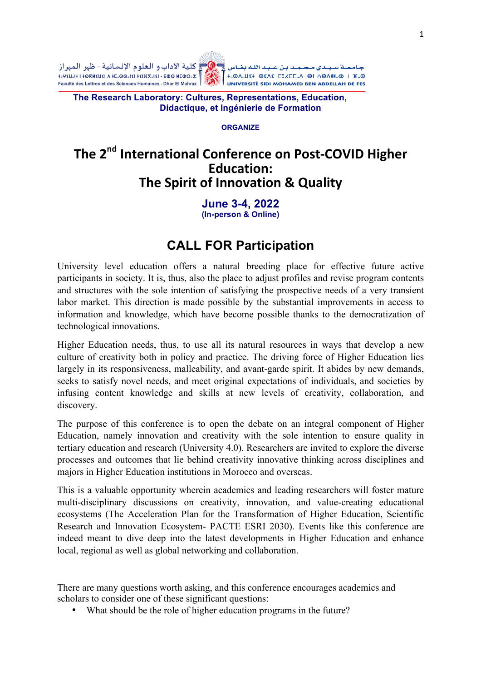ـة سـيـدي مـحـمـد بـن عـبـد اللـه بضـاس ﴾ ۞﴿ كلية الآداب و الـعلو م الإنسـانية - ظهر الـمـهر از جـامـعـة سـيـدي مـحـمـد بـن عـبـد اللـه بـفـاس صــاس عــالــه الاداب و الـعلوم الإنسـانيه - ظهر الـمهراز<br>h.QA.LIX+ OEAE CS/CE/CE/A | HOAM-O | K.@<br>UNIVERSITÉ SIDI MOHAMED BEN ABDELLAH DE FES - الـــــــــــــــــــــــــــ



**The Research Laboratory: Cultures, Representations, Education, Didactique, et Ingénierie de Formation**

#### **ORGANIZE**

# The 2<sup>nd</sup> International Conference on Post-COVID Higher **Education: The Spirit of Innovation & Quality**

**June 3-4, 2022 (In-person & Online)**

# **CALL FOR Participation**

University level education offers a natural breeding place for effective future active participants in society. It is, thus, also the place to adjust profiles and revise program contents and structures with the sole intention of satisfying the prospective needs of a very transient labor market. This direction is made possible by the substantial improvements in access to information and knowledge, which have become possible thanks to the democratization of technological innovations.

Higher Education needs, thus, to use all its natural resources in ways that develop a new culture of creativity both in policy and practice. The driving force of Higher Education lies largely in its responsiveness, malleability, and avant-garde spirit. It abides by new demands, seeks to satisfy novel needs, and meet original expectations of individuals, and societies by infusing content knowledge and skills at new levels of creativity, collaboration, and discovery.

The purpose of this conference is to open the debate on an integral component of Higher Education, namely innovation and creativity with the sole intention to ensure quality in tertiary education and research (University 4.0). Researchers are invited to explore the diverse processes and outcomes that lie behind creativity innovative thinking across disciplines and majors in Higher Education institutions in Morocco and overseas.

This is a valuable opportunity wherein academics and leading researchers will foster mature multi-disciplinary discussions on creativity, innovation, and value-creating educational ecosystems (The Acceleration Plan for the Transformation of Higher Education, Scientific Research and Innovation Ecosystem- PACTE ESRI 2030). Events like this conference are indeed meant to dive deep into the latest developments in Higher Education and enhance local, regional as well as global networking and collaboration.

There are many questions worth asking, and this conference encourages academics and scholars to consider one of these significant questions:

• What should be the role of higher education programs in the future?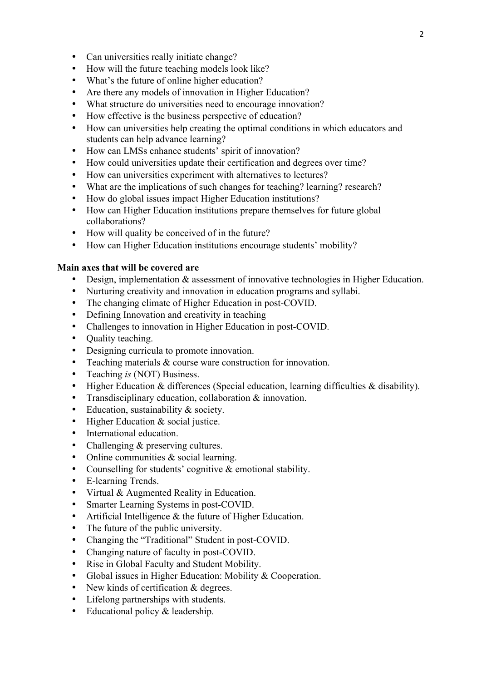- Can universities really initiate change?
- How will the future teaching models look like?
- What's the future of online higher education?
- Are there any models of innovation in Higher Education?
- What structure do universities need to encourage innovation?
- How effective is the business perspective of education?
- How can universities help creating the optimal conditions in which educators and students can help advance learning?
- How can LMSs enhance students' spirit of innovation?
- How could universities update their certification and degrees over time?
- How can universities experiment with alternatives to lectures?
- What are the implications of such changes for teaching? learning? research?
- How do global issues impact Higher Education institutions?
- How can Higher Education institutions prepare themselves for future global collaborations?
- How will quality be conceived of in the future?
- How can Higher Education institutions encourage students' mobility?

#### **Main axes that will be covered are**

- Design, implementation & assessment of innovative technologies in Higher Education.
- Nurturing creativity and innovation in education programs and syllabi.
- The changing climate of Higher Education in post-COVID.
- Defining Innovation and creativity in teaching
- Challenges to innovation in Higher Education in post-COVID.
- **Quality teaching.**
- Designing curricula to promote innovation.
- Teaching materials & course ware construction for innovation.
- Teaching *is* (NOT) Business.
- Higher Education & differences (Special education, learning difficulties & disability).
- Transdisciplinary education, collaboration & innovation.
- Education, sustainability & society.
- Higher Education & social justice.
- International education.
- Challenging & preserving cultures.
- Online communities & social learning.
- Counselling for students' cognitive & emotional stability.
- E-learning Trends.
- Virtual & Augmented Reality in Education.
- Smarter Learning Systems in post-COVID.
- Artificial Intelligence & the future of Higher Education.
- The future of the public university.
- Changing the "Traditional" Student in post-COVID.
- Changing nature of faculty in post-COVID.
- Rise in Global Faculty and Student Mobility.
- Global issues in Higher Education: Mobility & Cooperation.
- New kinds of certification & degrees.
- Lifelong partnerships with students.
- Educational policy & leadership.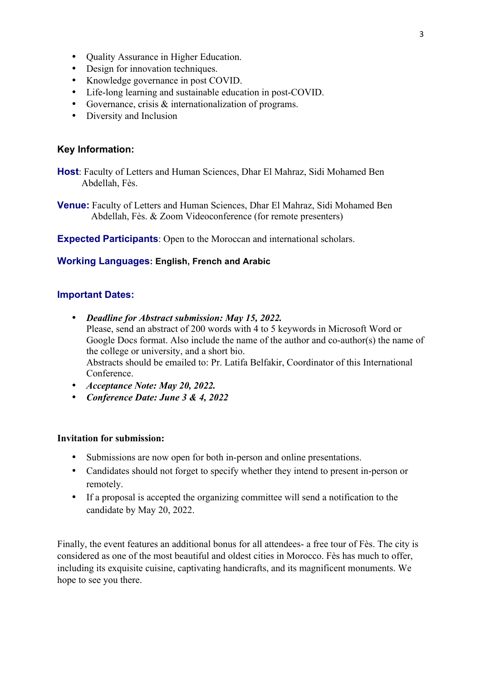- Quality Assurance in Higher Education.
- Design for innovation techniques.
- Knowledge governance in post COVID.
- Life-long learning and sustainable education in post-COVID.
- Governance, crisis & internationalization of programs.
- Diversity and Inclusion

### **Key Information:**

**Host**: Faculty of Letters and Human Sciences, Dhar El Mahraz, Sidi Mohamed Ben Abdellah, Fès.

**Venue:** Faculty of Letters and Human Sciences, Dhar El Mahraz, Sidi Mohamed Ben Abdellah, Fès. & Zoom Videoconference (for remote presenters)

**Expected Participants**: Open to the Moroccan and international scholars.

#### **Working Languages: English, French and Arabic**

### **Important Dates:**

- *Deadline for Abstract submission: May 15, 2022.* Please, send an abstract of 200 words with 4 to 5 keywords in Microsoft Word or Google Docs format. Also include the name of the author and co-author(s) the name of the college or university, and a short bio. Abstracts should be emailed to: Pr. Latifa Belfakir, Coordinator of this International **Conference**
- *Acceptance Note: May 20, 2022.*
- *Conference Date: June 3 & 4, 2022*

### **Invitation for submission:**

- Submissions are now open for both in-person and online presentations.
- Candidates should not forget to specify whether they intend to present in-person or remotely.
- If a proposal is accepted the organizing committee will send a notification to the candidate by May 20, 2022.

Finally, the event features an additional bonus for all attendees- a free tour of Fès. The city is considered as one of the most beautiful and oldest cities in Morocco. Fès has much to offer, including its exquisite cuisine, captivating handicrafts, and its magnificent monuments. We hope to see you there.